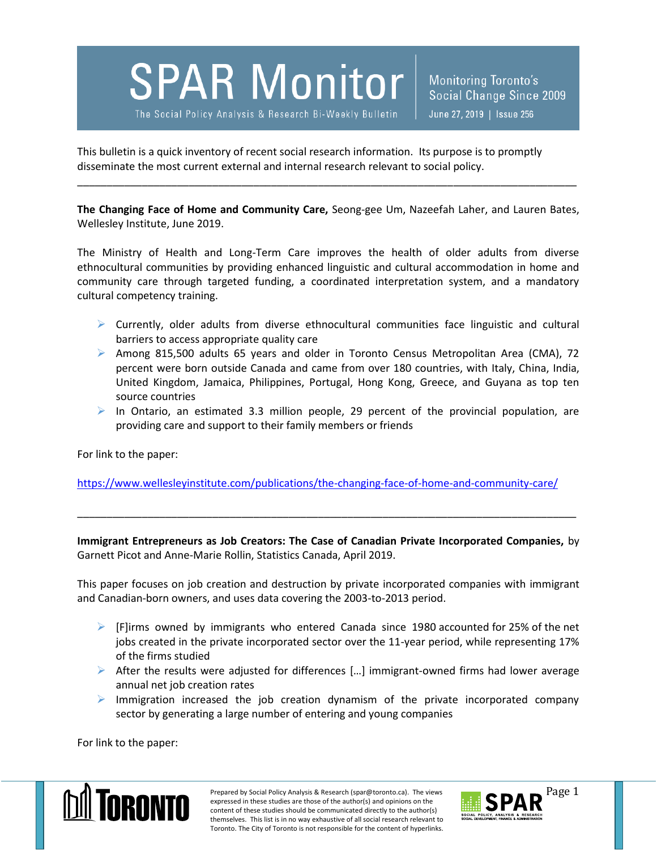**SPAR Monitor** 

The Social Policy Analysis & Research Bi-Weekly Bulletin

Monitoring Toronto's Social Change Since 2009 June 27, 2019 | Issue 256

This bulletin is a quick inventory of recent social research information. Its purpose is to promptly disseminate the most current external and internal research relevant to social policy.

**The Changing Face of Home and Community Care,** Seong-gee Um, Nazeefah Laher, and Lauren Bates, Wellesley Institute, June 2019.

\_\_\_\_\_\_\_\_\_\_\_\_\_\_\_\_\_\_\_\_\_\_\_\_\_\_\_\_\_\_\_\_\_\_\_\_\_\_\_\_\_\_\_\_\_\_\_\_\_\_\_\_\_\_\_\_\_\_\_\_\_\_\_\_\_\_\_\_\_\_\_\_\_\_\_\_\_\_\_\_\_\_\_\_\_

The Ministry of Health and Long-Term Care improves the health of older adults from diverse ethnocultural communities by providing enhanced linguistic and cultural accommodation in home and community care through targeted funding, a coordinated interpretation system, and a mandatory cultural competency training.

- $\triangleright$  Currently, older adults from diverse ethnocultural communities face linguistic and cultural barriers to access appropriate quality care
- Among 815,500 adults 65 years and older in Toronto Census Metropolitan Area (CMA), 72 percent were born outside Canada and came from over 180 countries, with Italy, China, India, United Kingdom, Jamaica, Philippines, Portugal, Hong Kong, Greece, and Guyana as top ten source countries
- $\triangleright$  In Ontario, an estimated 3.3 million people, 29 percent of the provincial population, are providing care and support to their family members or friends

For link to the paper:

<https://www.wellesleyinstitute.com/publications/the-changing-face-of-home-and-community-care/>

**Immigrant Entrepreneurs as Job Creators: The Case of Canadian Private Incorporated Companies,** by Garnett Picot and Anne-Marie Rollin, Statistics Canada, April 2019.

\_\_\_\_\_\_\_\_\_\_\_\_\_\_\_\_\_\_\_\_\_\_\_\_\_\_\_\_\_\_\_\_\_\_\_\_\_\_\_\_\_\_\_\_\_\_\_\_\_\_\_\_\_\_\_\_\_\_\_\_\_\_\_\_\_\_\_\_\_\_\_\_\_\_\_\_\_\_\_\_\_\_\_\_\_

This paper focuses on job creation and destruction by private incorporated companies with immigrant and Canadian-born owners, and uses data covering the 2003-to-2013 period.

- $\triangleright$  [F]irms owned by immigrants who entered Canada since 1980 accounted for 25% of the net jobs created in the private incorporated sector over the 11-year period, while representing 17% of the firms studied
- $\triangleright$  After the results were adjusted for differences [...] immigrant-owned firms had lower average annual net job creation rates
- $\triangleright$  Immigration increased the job creation dynamism of the private incorporated company sector by generating a large number of entering and young companies

For link to the paper:



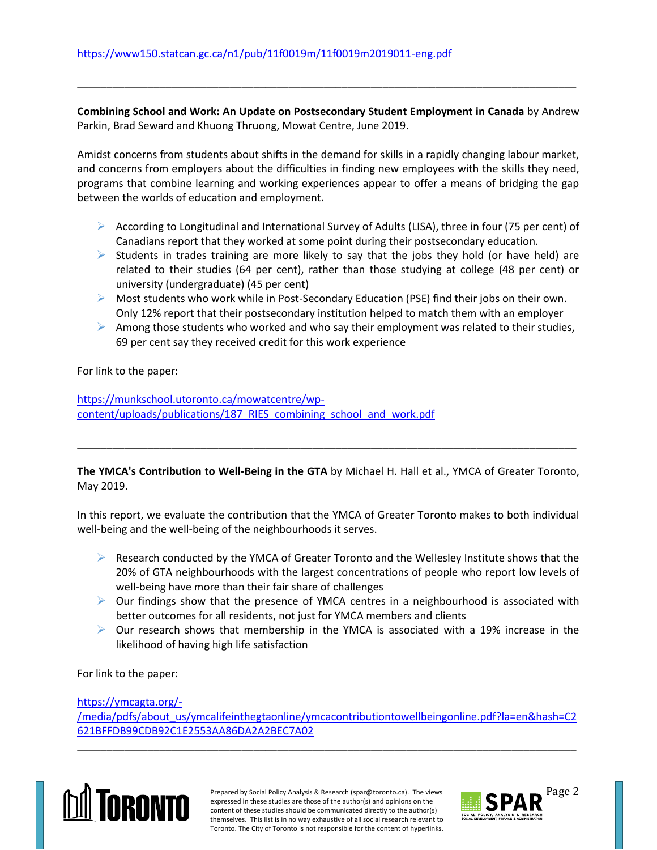**Combining School and Work: An Update on Postsecondary Student Employment in Canada** by Andrew Parkin, Brad Seward and Khuong Thruong, Mowat Centre, June 2019.

\_\_\_\_\_\_\_\_\_\_\_\_\_\_\_\_\_\_\_\_\_\_\_\_\_\_\_\_\_\_\_\_\_\_\_\_\_\_\_\_\_\_\_\_\_\_\_\_\_\_\_\_\_\_\_\_\_\_\_\_\_\_\_\_\_\_\_\_\_\_\_\_\_\_\_\_\_\_\_\_\_\_\_\_\_

Amidst concerns from students about shifts in the demand for skills in a rapidly changing labour market, and concerns from employers about the difficulties in finding new employees with the skills they need, programs that combine learning and working experiences appear to offer a means of bridging the gap between the worlds of education and employment.

- According to Longitudinal and International Survey of Adults (LISA), three in four (75 per cent) of Canadians report that they worked at some point during their postsecondary education.
- $\triangleright$  Students in trades training are more likely to say that the jobs they hold (or have held) are related to their studies (64 per cent), rather than those studying at college (48 per cent) or university (undergraduate) (45 per cent)
- $\triangleright$  Most students who work while in Post-Secondary Education (PSE) find their jobs on their own. Only 12% report that their postsecondary institution helped to match them with an employer
- $\triangleright$  Among those students who worked and who say their employment was related to their studies, 69 per cent say they received credit for this work experience

For link to the paper:

[https://munkschool.utoronto.ca/mowatcentre/wp](https://munkschool.utoronto.ca/mowatcentre/wp-content/uploads/publications/187_RIES_combining_school_and_work.pdf)[content/uploads/publications/187\\_RIES\\_combining\\_school\\_and\\_work.pdf](https://munkschool.utoronto.ca/mowatcentre/wp-content/uploads/publications/187_RIES_combining_school_and_work.pdf)

**The YMCA's Contribution to Well-Being in the GTA** by Michael H. Hall et al., YMCA of Greater Toronto, May 2019.

\_\_\_\_\_\_\_\_\_\_\_\_\_\_\_\_\_\_\_\_\_\_\_\_\_\_\_\_\_\_\_\_\_\_\_\_\_\_\_\_\_\_\_\_\_\_\_\_\_\_\_\_\_\_\_\_\_\_\_\_\_\_\_\_\_\_\_\_\_\_\_\_\_\_\_\_\_\_\_\_\_\_\_\_\_

In this report, we evaluate the contribution that the YMCA of Greater Toronto makes to both individual well-being and the well-being of the neighbourhoods it serves.

- $\triangleright$  Research conducted by the YMCA of Greater Toronto and the Wellesley Institute shows that the 20% of GTA neighbourhoods with the largest concentrations of people who report low levels of well-being have more than their fair share of challenges
- $\triangleright$  Our findings show that the presence of YMCA centres in a neighbourhood is associated with better outcomes for all residents, not just for YMCA members and clients
- $\triangleright$  Our research shows that membership in the YMCA is associated with a 19% increase in the likelihood of having high life satisfaction

For link to the paper:

## [https://ymcagta.org/-](https://ymcagta.org/-/media/pdfs/about_us/ymcalifeinthegtaonline/ymcacontributiontowellbeingonline.pdf?la=en&hash=C2621BFFDB99CDB92C1E2553AA86DA2A2BEC7A02)

[/media/pdfs/about\\_us/ymcalifeinthegtaonline/ymcacontributiontowellbeingonline.pdf?la=en&hash=C2](https://ymcagta.org/-/media/pdfs/about_us/ymcalifeinthegtaonline/ymcacontributiontowellbeingonline.pdf?la=en&hash=C2621BFFDB99CDB92C1E2553AA86DA2A2BEC7A02) [621BFFDB99CDB92C1E2553AA86DA2A2BEC7A02](https://ymcagta.org/-/media/pdfs/about_us/ymcalifeinthegtaonline/ymcacontributiontowellbeingonline.pdf?la=en&hash=C2621BFFDB99CDB92C1E2553AA86DA2A2BEC7A02)

\_\_\_\_\_\_\_\_\_\_\_\_\_\_\_\_\_\_\_\_\_\_\_\_\_\_\_\_\_\_\_\_\_\_\_\_\_\_\_\_\_\_\_\_\_\_\_\_\_\_\_\_\_\_\_\_\_\_\_\_\_\_\_\_\_\_\_\_\_\_\_\_\_\_\_\_\_\_\_\_\_\_\_\_\_



Prepared by Social Policy Analysis & Research (spar@toronto.ca). The views **Page 2** expressed in these studies are those of the author(s) and opinions on the content of these studies should be communicated directly to the author(s) themselves. This list is in no way exhaustive of all social research relevant to Toronto. The City of Toronto is not responsible for the content of hyperlinks.